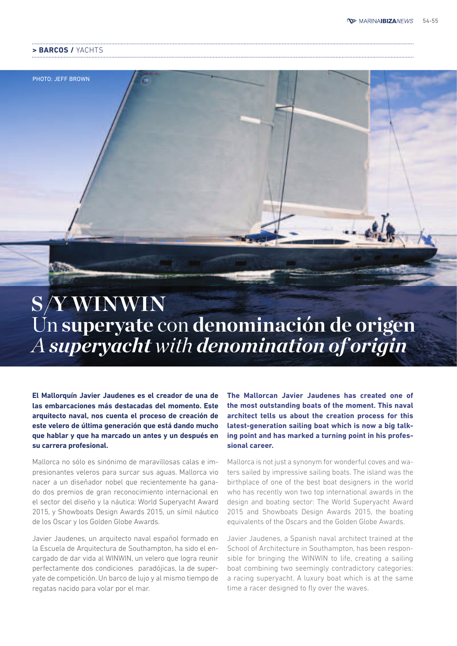#### **> BARCOS /** YACHTS

PHOTO: JEFF BROWN

# **S/Y WINWIN** Un **superyate** con **denominación de origen** *A superyacht with denomination of origin*

**El Mallorquín Javier Jaudenes es el creador de una de las embarcaciones más destacadas del momento. Este arquitecto naval, nos cuenta el proceso de creación de este velero de última generación que está dando mucho que hablar y que ha marcado un antes y un después en su carrera profesional.** 

Mallorca no sólo es sinónimo de maravillosas calas e impresionantes veleros para surcar sus aguas. Mallorca vio nacer a un diseñador nobel que recientemente ha ganado dos premios de gran reconocimiento internacional en el sector del diseño y la náutica: World Superyacht Award 2015, y Showboats Design Awards 2015, un símil náutico de los Oscar y los Golden Globe Awards.

Javier Jaudenes, un arquitecto naval español formado en la Escuela de Arquitectura de Southampton, ha sido el encargado de dar vida al WINWIN, un velero que logra reunir perfectamente dos condiciones paradójicas, la de superyate de competición. Un barco de lujo y al mismo tiempo de regatas nacido para volar por el mar.

**The Mallorcan Javier Jaudenes has created one of the most outstanding boats of the moment. This naval architect tells us about the creation process for this latest-generation sailing boat which is now a big talking point and has marked a turning point in his professional career.** 

Mallorca is not just a synonym for wonderful coves and waters sailed by impressive sailing boats. The island was the birthplace of one of the best boat designers in the world who has recently won two top international awards in the design and boating sector: The World Superyacht Award 2015 and Showboats Design Awards 2015, the boating equivalents of the Oscars and the Golden Globe Awards.

Javier Jaudenes, a Spanish naval architect trained at the School of Architecture in Southampton, has been responsible for bringing the WINWIN to life, creating a sailing boat combining two seemingly contradictory categories: a racing superyacht. A luxury boat which is at the same time a racer designed to fly over the waves.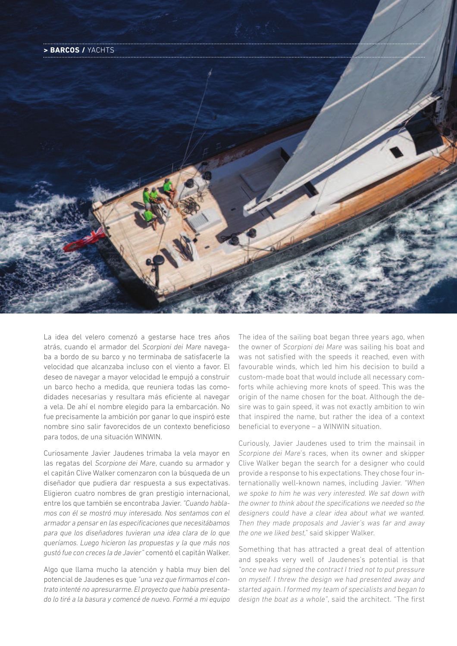

La idea del velero comenzó a gestarse hace tres años atrás, cuando el armador del *Scorpioni dei Mare* navegaba a bordo de su barco y no terminaba de satisfacerle la velocidad que alcanzaba incluso con el viento a favor. El deseo de navegar a mayor velocidad le empujó a construir un barco hecho a medida, que reuniera todas las comodidades necesarias y resultara más eficiente al navegar a vela. De ahí el nombre elegido para la embarcación. No fue precisamente la ambición por ganar lo que inspiró este nombre sino salir favorecidos de un contexto beneficioso para todos, de una situación WINWIN.

Curiosamente Javier Jaudenes trimaba la vela mayor en las regatas del *Scorpione dei Mare*, cuando su armador y el capitán Clive Walker comenzaron con la búsqueda de un diseñador que pudiera dar respuesta a sus expectativas. Eligieron cuatro nombres de gran prestigio internacional, entre los que también se encontraba Javier. *"Cuando hablamos con él se mostró muy interesado. Nos sentamos con el armador a pensar en las especificaciones que necesitábamos para que los diseñadores tuvieran una idea clara de lo que queríamos. Luego hicieron las propuestas y la que más nos gustó fue con creces la de Javier"* comentó el capitán Walker.

Algo que llama mucho la atención y habla muy bien del potencial de Jaudenes es que *"una vez que firmamos el contrato intenté no apresurarme. El proyecto que había presentado lo tiré a la basura y comencé de nuevo. Formé a mi equipo* 

The idea of the sailing boat began three years ago, when the owner of *Scorpioni dei Mare* was sailing his boat and was not satisfied with the speeds it reached, even with favourable winds, which led him his decision to build a custom-made boat that would include all necessary comforts while achieving more knots of speed. This was the origin of the name chosen for the boat. Although the desire was to gain speed, it was not exactly ambition to win that inspired the name, but rather the idea of a context beneficial to everyone – a WINWIN situation.

Curiously, Javier Jaudenes used to trim the mainsail in *Scorpione dei Mare*'s races, when its owner and skipper Clive Walker began the search for a designer who could provide a response to his expectations. They chose four internationally well-known names, including Javier. *"When we spoke to him he was very interested. We sat down with the owner to think about the specifications we needed so the designers could have a clear idea about what we wanted. Then they made proposals and Javier's was far and away the one we liked best,"* said skipper Walker.

Something that has attracted a great deal of attention and speaks very well of Jaudenes's potential is that *"once we had signed the contract I tried not to put pressure on myself. I threw the design we had presented away and started again. I formed my team of specialists and began to design the boat as a whole"*, said the architect. "The first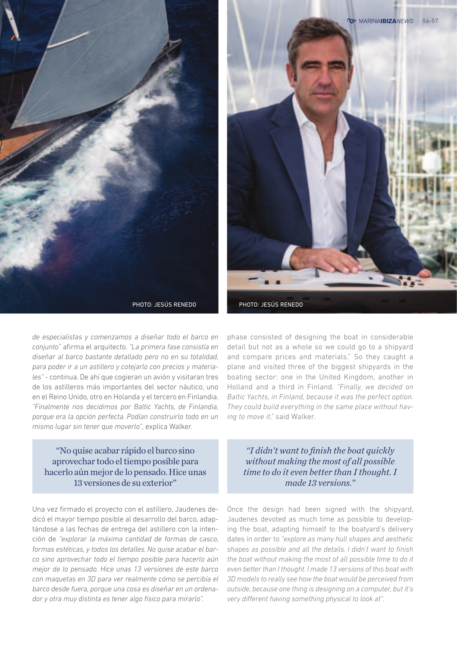![](_page_2_Picture_0.jpeg)

![](_page_2_Picture_1.jpeg)

*de especialistas y comenzamos a diseñar todo el barco en conjunto"* afirma el arquitecto. *"La primera fase consistía en diseñar al barco bastante detallado pero no en su totalidad, para poder ir a un astillero y cotejarlo con precios y materiales"* - continua. De ahí que cogieran un avión y visitaran tres de los astilleros más importantes del sector náutico, uno en el Reino Unido, otro en Holanda y el tercero en Finlandia. *"Finalmente nos decidimos por Baltic Yachts, de Finlandia, porque era la opción perfecta. Podían construirlo todo en un mismo lugar sin tener que moverlo"*, explica Walker.

"No quise acabar rápido el barco sino aprovechar todo el tiempo posible para hacerlo aún mejor de lo pensado. Hice unas 13 versiones de su exterior"

Una vez firmado el proyecto con el astillero, Jaudenes dedicó el mayor tiempo posible al desarrollo del barco, adaptándose a las fechas de entrega del astillero con la intención de *"explorar la máxima cantidad de formas de casco, formas estéticas, y todos los detalles. No quise acabar el barco sino aprovechar todo el tiempo posible para hacerlo aún mejor de lo pensado. Hice unas 13 versiones de este barco con maquetas en 3D para ver realmente cómo se percibía el barco desde fuera, porque una cosa es diseñar en un ordenador y otra muy distinta es tener algo físico para mirarlo".*

phase consisted of designing the boat in considerable detail but not as a whole so we could go to a shipyard and compare prices and materials." So they caught a plane and visited three of the biggest shipyards in the boating sector: one in the United Kingdom, another in Holland and a third in Finland. *"Finally, we decided on Baltic Yachts, in Finland, because it was the perfect option. They could build everything in the same place without having to move it,"* said Walker.

*"I didn't want to finish the boat quickly without making the most of all possible time to do it even better than I thought. I made 13 versions."*

Once the design had been signed with the shipyard, Jaudenes devoted as much time as possible to developing the boat, adapting himself to the boatyard's delivery dates in order to *"explore as many hull shapes and aesthetic shapes as possible and all the details. I didn't want to finish the boat without making the most of all possible time to do it even better than I thought. I made 13 versions of this boat with 3D models to really see how the boat would be perceived from outside, because one thing is designing on a computer, but it's very different having something physical to look at".*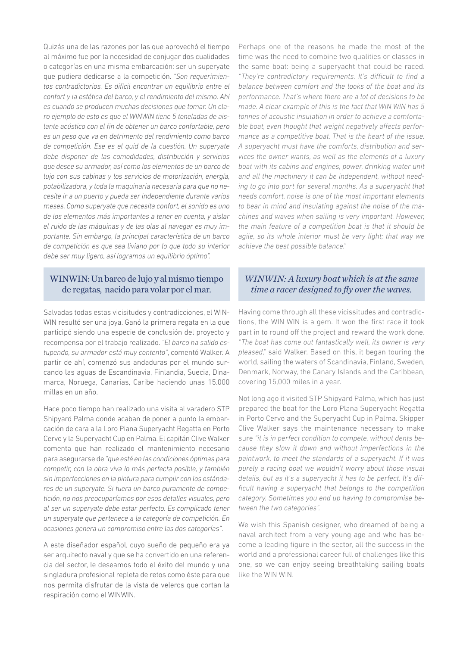Quizás una de las razones por las que aprovechó el tiempo al máximo fue por la necesidad de conjugar dos cualidades o categorías en una misma embarcación: ser un superyate que pudiera dedicarse a la competición. *"Son requerimientos contradictorios. Es difícil encontrar un equilibrio entre el confort y la estética del barco, y el rendimiento del mismo. Ahí es cuando se producen muchas decisiones que tomar. Un claro ejemplo de esto es que el WINWIN tiene 5 toneladas de aislante acústico con el fin de obtener un barco confortable, pero es un peso que va en detrimento del rendimiento como barco de competición. Ese es el quid de la cuestión. Un superyate debe disponer de las comodidades, distribución y servicios que desee su armador, así como los elementos de un barco de lujo con sus cabinas y los servicios de motorización, energía, potabilizadora, y toda la maquinaria necesaria para que no necesite ir a un puerto y pueda ser independiente durante varios meses. Como superyate que necesita confort, el sonido es uno de los elementos más importantes a tener en cuenta, y aislar el ruido de las máquinas y de las olas al navegar es muy importante. Sin embargo, la principal característica de un barco de competición es que sea liviano por lo que todo su interior debe ser muy ligero, así logramos un equilibrio óptimo".*

### WINWIN: Un barco de lujo y al mismo tiempo de regatas, nacido para volar por el mar.

Salvadas todas estas vicisitudes y contradicciones, el WIN-WIN resultó ser una joya. Ganó la primera regata en la que participó siendo una especie de conclusión del proyecto y recompensa por el trabajo realizado. *"El barco ha salido estupendo, su armador está muy contento"*, comentó Walker. A partir de ahí, comenzó sus andaduras por el mundo surcando las aguas de Escandinavia, Finlandia, Suecia, Dinamarca, Noruega, Canarias, Caribe haciendo unas 15.000 millas en un año.

Hace poco tiempo han realizado una visita al varadero STP Shipyard Palma donde acaban de poner a punto la embarcación de cara a la Loro Piana Superyacht Regatta en Porto Cervo y la Superyacht Cup en Palma. El capitán Clive Walker comenta que han realizado el mantenimiento necesario para asegurarse de *"que esté en las condiciones óptimas para competir, con la obra viva lo más perfecta posible, y también sin imperfecciones en la pintura para cumplir con los estándares de un superyate. Si fuera un barco puramente de competición, no nos preocuparíamos por esos detalles visuales, pero al ser un superyate debe estar perfecto. Es complicado tener un superyate que pertenece a la categoría de competición. En ocasiones genera un compromiso entre las dos categorías"*.

A este diseñador español, cuyo sueño de pequeño era ya ser arquitecto naval y que se ha convertido en una referencia del sector, le deseamos todo el éxito del mundo y una singladura profesional repleta de retos como éste para que nos permita disfrutar de la vista de veleros que cortan la respiración como el WINWIN.

Perhaps one of the reasons he made the most of the time was the need to combine two qualities or classes in the same boat: being a superyacht that could be raced. "They're contradictory requirements. It's difficult to find a *balance between comfort and the looks of the boat and its performance. That's where there are a lot of decisions to be made. A clear example of this is the fact that WIN WIN has 5 tonnes of acoustic insulation in order to achieve a comforta*ble boat, even thought that weight negatively affects perfor*mance as a competitive boat. That is the heart of the issue. A superyacht must have the comforts, distribution and services the owner wants, as well as the elements of a luxury boat with its cabins and engines, power, drinking water unit and all the machinery it can be independent, without needing to go into port for several months. As a superyacht that needs comfort, noise is one of the most important elements to bear in mind and insulating against the noise of the machines and waves when sailing is very important. However, the main feature of a competition boat is that it should be agile, so its whole interior must be very light; that way we achieve the best possible balance."*

### *WINWIN: A luxury boat which is at the same time a racer designed to fly over the waves.*

Having come through all these vicissitudes and contradictions, the WIN WIN is a gem. It won the first race it took part in to round off the project and reward the work done. *"The boat has come out fantastically well, its owner is very pleased,"* said Walker. Based on this, it began touring the world, sailing the waters of Scandinavia, Finland, Sweden, Denmark, Norway, the Canary Islands and the Caribbean, covering 15,000 miles in a year.

Not long ago it visited STP Shipyard Palma, which has just prepared the boat for the Loro Plana Superyacht Regatta in Porto Cervo and the Superyacht Cup in Palma. Skipper Clive Walker says the maintenance necessary to make sure *"it is in perfect condition to compete, without dents because they slow it down and without imperfections in the paintwork, to meet the standards of a superyacht. If it was purely a racing boat we wouldn't worry about those visual details, but as it's a superyacht it has to be perfect. It's difficult having a superyacht that belongs to the competition category. Sometimes you end up having to compromise between the two categories".*

We wish this Spanish designer, who dreamed of being a naval architect from a very young age and who has become a leading figure in the sector, all the success in the world and a professional career full of challenges like this one, so we can enjoy seeing breathtaking sailing boats like the WIN WIN.